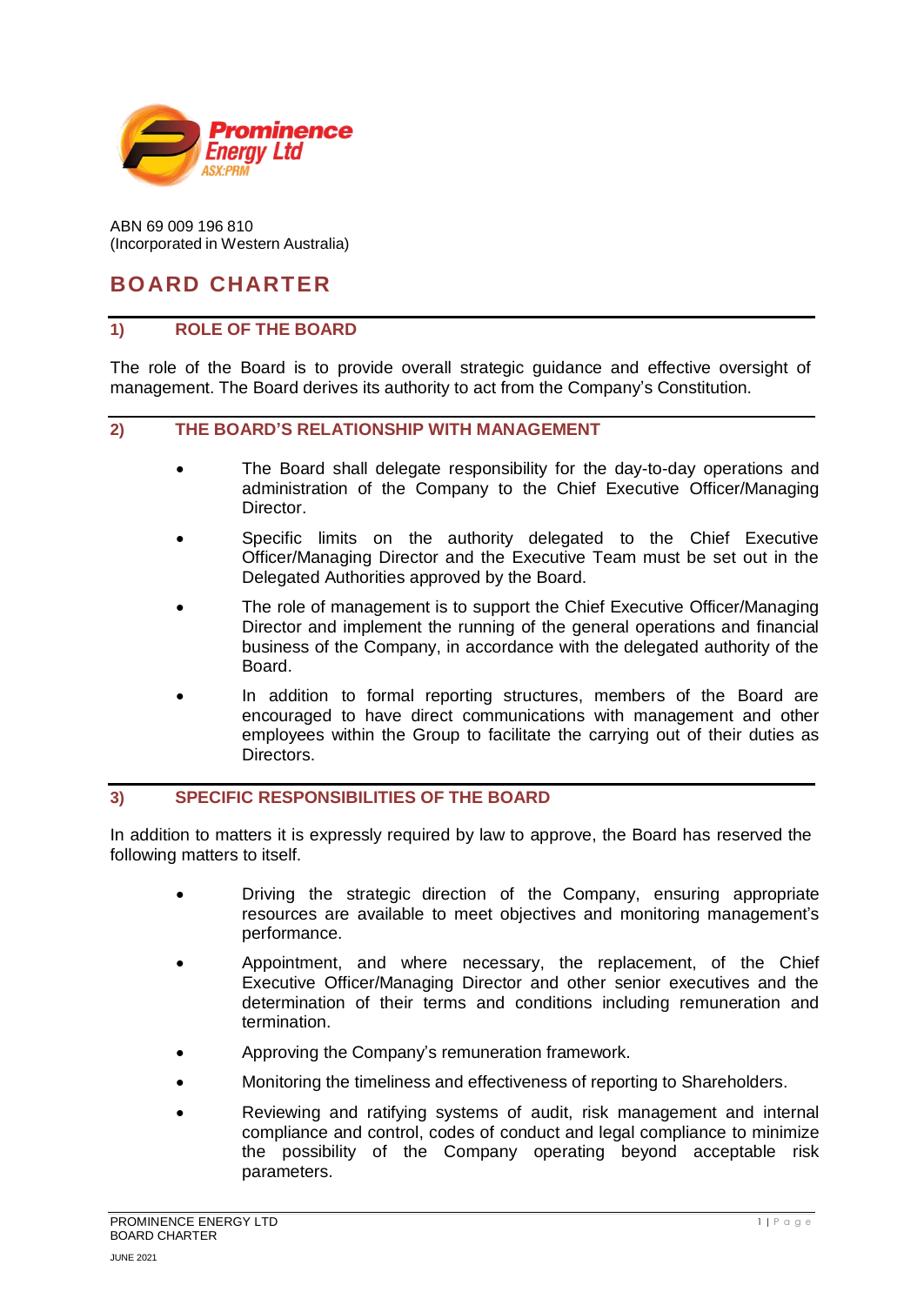

ABN 69 009 196 810 (Incorporated in Western Australia)

# **BOARD CHARTER**

## **1) ROLE OF THE BOARD**

The role of the Board is to provide overall strategic guidance and effective oversight of management. The Board derives its authority to act from the Company's Constitution.

#### **2) THE BOARD'S RELATIONSHIP WITH MANAGEMENT**

- The Board shall delegate responsibility for the day-to-day operations and administration of the Company to the Chief Executive Officer/Managing Director.
- Specific limits on the authority delegated to the Chief Executive Officer/Managing Director and the Executive Team must be set out in the Delegated Authorities approved by the Board.
- The role of management is to support the Chief Executive Officer/Managing Director and implement the running of the general operations and financial business of the Company, in accordance with the delegated authority of the Board.
- In addition to formal reporting structures, members of the Board are encouraged to have direct communications with management and other employees within the Group to facilitate the carrying out of their duties as Directors.

# **3) SPECIFIC RESPONSIBILITIES OF THE BOARD**

In addition to matters it is expressly required by law to approve, the Board has reserved the following matters to itself.

- Driving the strategic direction of the Company, ensuring appropriate resources are available to meet objectives and monitoring management's performance.
- Appointment, and where necessary, the replacement, of the Chief Executive Officer/Managing Director and other senior executives and the determination of their terms and conditions including remuneration and termination.
- Approving the Company's remuneration framework.
- Monitoring the timeliness and effectiveness of reporting to Shareholders.
- Reviewing and ratifying systems of audit, risk management and internal compliance and control, codes of conduct and legal compliance to minimize the possibility of the Company operating beyond acceptable risk parameters.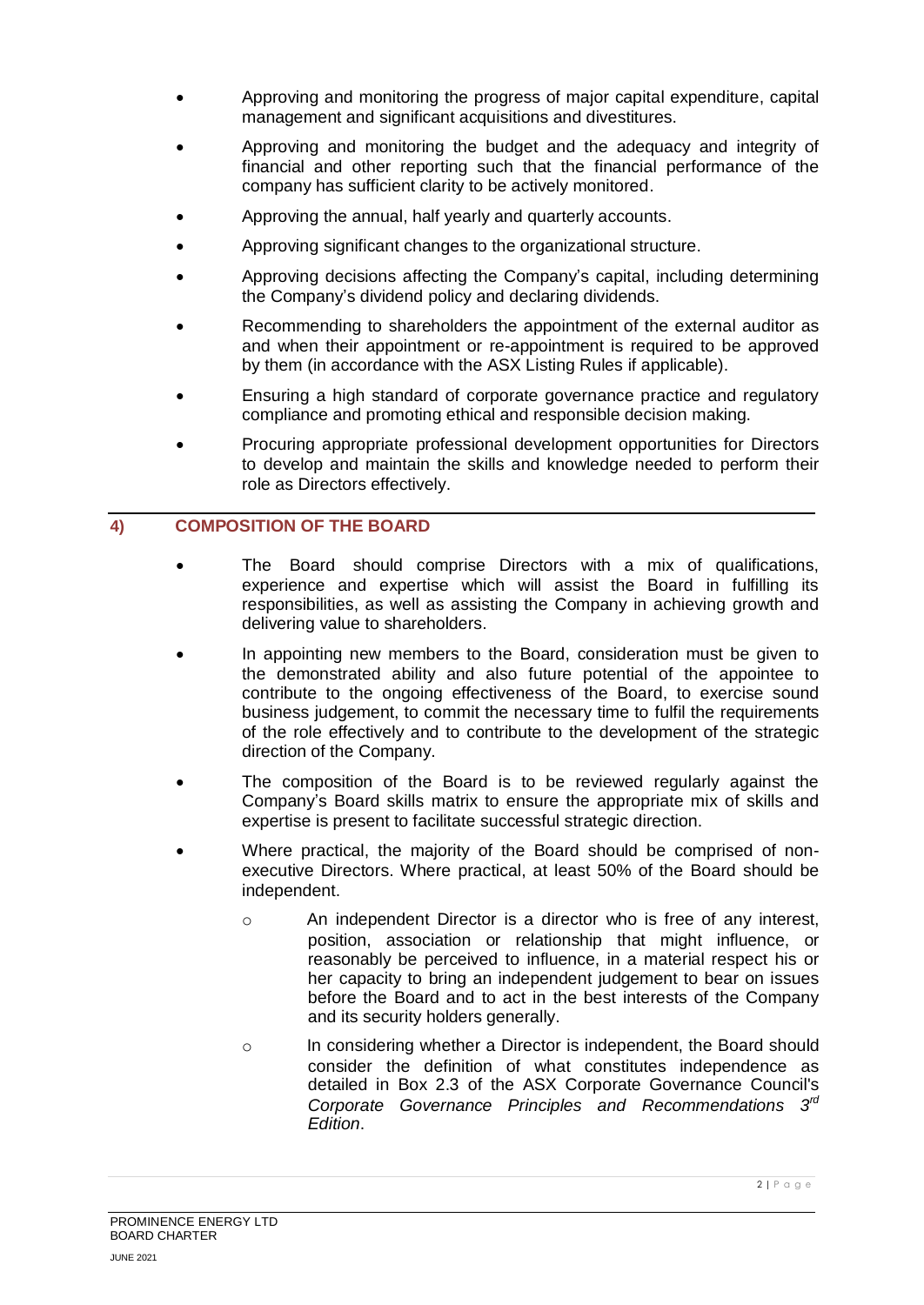- Approving and monitoring the progress of major capital expenditure, capital management and significant acquisitions and divestitures.
- Approving and monitoring the budget and the adequacy and integrity of financial and other reporting such that the financial performance of the company has sufficient clarity to be actively monitored.
- Approving the annual, half yearly and quarterly accounts.
- Approving significant changes to the organizational structure.
- Approving decisions affecting the Company's capital, including determining the Company's dividend policy and declaring dividends.
- Recommending to shareholders the appointment of the external auditor as and when their appointment or re-appointment is required to be approved by them (in accordance with the ASX Listing Rules if applicable).
- Ensuring a high standard of corporate governance practice and regulatory compliance and promoting ethical and responsible decision making.
- Procuring appropriate professional development opportunities for Directors to develop and maintain the skills and knowledge needed to perform their role as Directors effectively.

## **4) COMPOSITION OF THE BOARD**

- The Board should comprise Directors with a mix of qualifications, experience and expertise which will assist the Board in fulfilling its responsibilities, as well as assisting the Company in achieving growth and delivering value to shareholders.
- In appointing new members to the Board, consideration must be given to the demonstrated ability and also future potential of the appointee to contribute to the ongoing effectiveness of the Board, to exercise sound business judgement, to commit the necessary time to fulfil the requirements of the role effectively and to contribute to the development of the strategic direction of the Company.
- The composition of the Board is to be reviewed regularly against the Company's Board skills matrix to ensure the appropriate mix of skills and expertise is present to facilitate successful strategic direction.
- Where practical, the majority of the Board should be comprised of nonexecutive Directors. Where practical, at least 50% of the Board should be independent.
	- o An independent Director is a director who is free of any interest, position, association or relationship that might influence, or reasonably be perceived to influence, in a material respect his or her capacity to bring an independent judgement to bear on issues before the Board and to act in the best interests of the Company and its security holders generally.
	- o In considering whether a Director is independent, the Board should consider the definition of what constitutes independence as detailed in Box 2.3 of the ASX Corporate Governance Council's *Corporate Governance Principles and Recommendations 3 rd Edition*.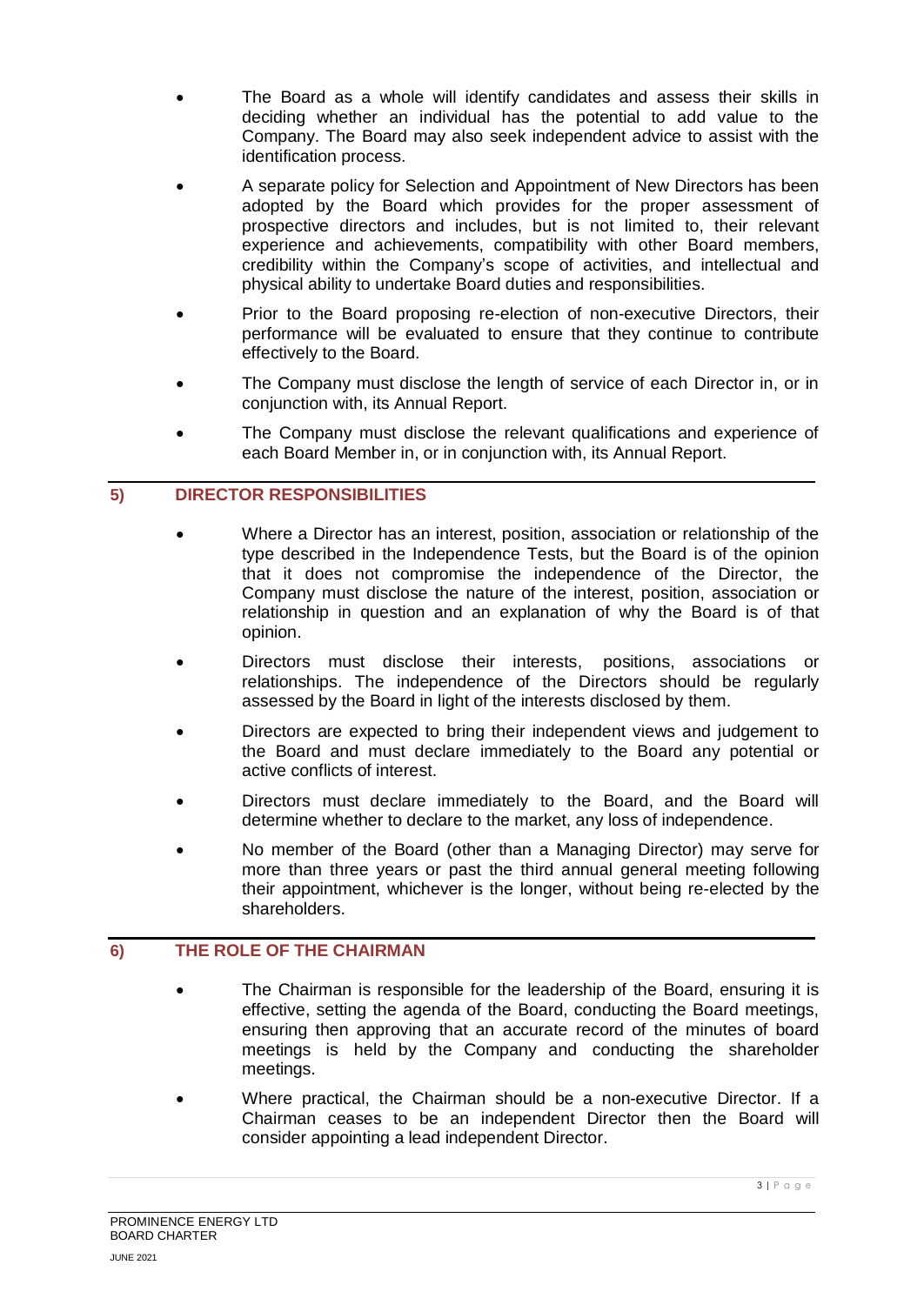- The Board as a whole will identify candidates and assess their skills in deciding whether an individual has the potential to add value to the Company. The Board may also seek independent advice to assist with the identification process.
- A separate policy for Selection and Appointment of New Directors has been adopted by the Board which provides for the proper assessment of prospective directors and includes, but is not limited to, their relevant experience and achievements, compatibility with other Board members, credibility within the Company's scope of activities, and intellectual and physical ability to undertake Board duties and responsibilities.
- Prior to the Board proposing re-election of non-executive Directors, their performance will be evaluated to ensure that they continue to contribute effectively to the Board.
- The Company must disclose the length of service of each Director in, or in conjunction with, its Annual Report.
- The Company must disclose the relevant qualifications and experience of each Board Member in, or in conjunction with, its Annual Report.

## **5) DIRECTOR RESPONSIBILITIES**

- Where a Director has an interest, position, association or relationship of the type described in the Independence Tests, but the Board is of the opinion that it does not compromise the independence of the Director, the Company must disclose the nature of the interest, position, association or relationship in question and an explanation of why the Board is of that opinion.
- Directors must disclose their interests, positions, associations or relationships. The independence of the Directors should be regularly assessed by the Board in light of the interests disclosed by them.
- Directors are expected to bring their independent views and judgement to the Board and must declare immediately to the Board any potential or active conflicts of interest.
- Directors must declare immediately to the Board, and the Board will determine whether to declare to the market, any loss of independence.
- No member of the Board (other than a Managing Director) may serve for more than three years or past the third annual general meeting following their appointment, whichever is the longer, without being re-elected by the shareholders.

# **6) THE ROLE OF THE CHAIRMAN**

- The Chairman is responsible for the leadership of the Board, ensuring it is effective, setting the agenda of the Board, conducting the Board meetings, ensuring then approving that an accurate record of the minutes of board meetings is held by the Company and conducting the shareholder meetings.
- Where practical, the Chairman should be a non-executive Director. If a Chairman ceases to be an independent Director then the Board will consider appointing a lead independent Director.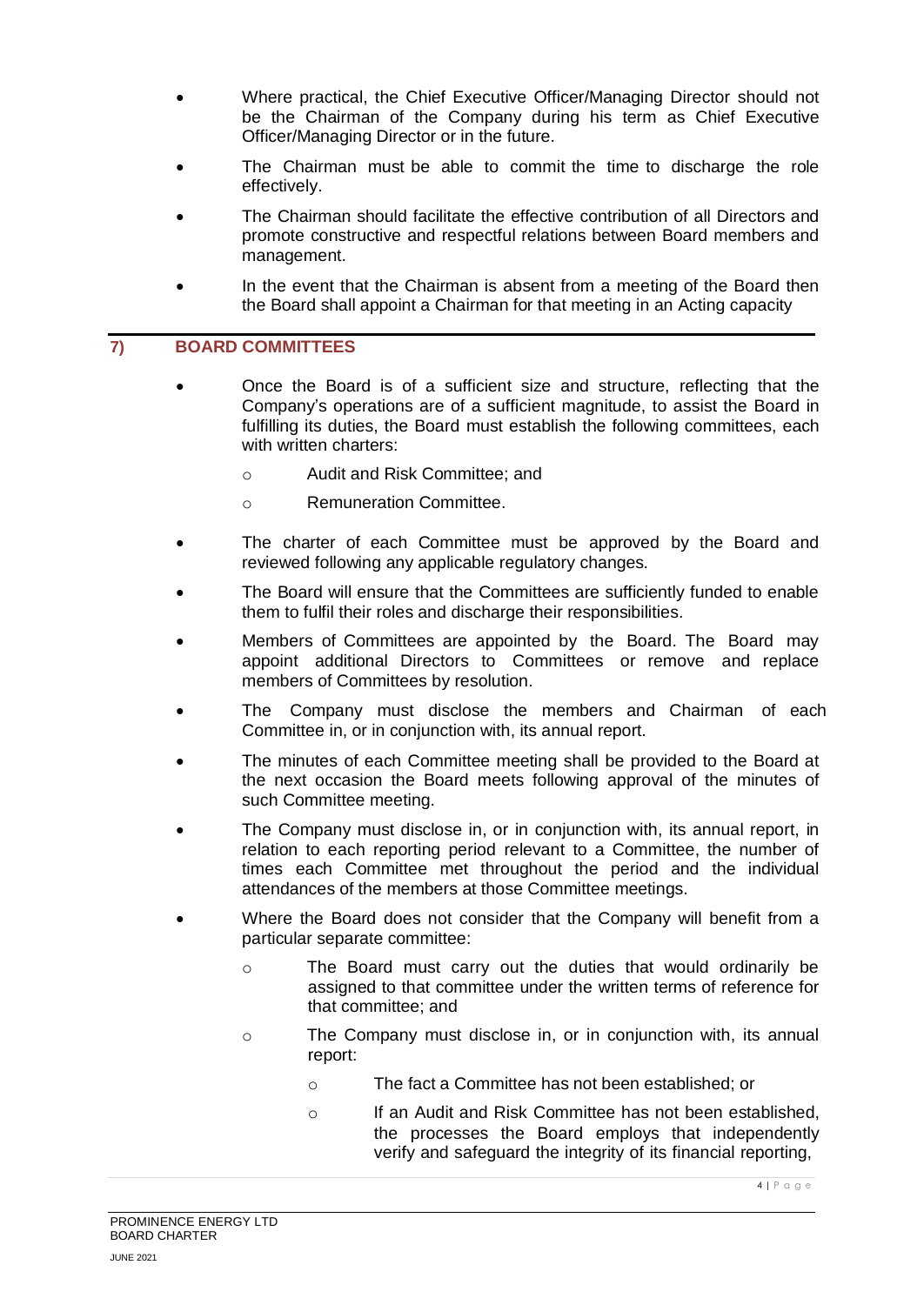- Where practical, the Chief Executive Officer/Managing Director should not be the Chairman of the Company during his term as Chief Executive Officer/Managing Director or in the future.
- The Chairman must be able to commit the time to discharge the role effectively.
- The Chairman should facilitate the effective contribution of all Directors and promote constructive and respectful relations between Board members and management.
- In the event that the Chairman is absent from a meeting of the Board then the Board shall appoint a Chairman for that meeting in an Acting capacity

## **7) BOARD COMMITTEES**

- Once the Board is of a sufficient size and structure, reflecting that the Company's operations are of a sufficient magnitude, to assist the Board in fulfilling its duties, the Board must establish the following committees, each with written charters:
	- o Audit and Risk Committee; and
	- o Remuneration Committee.
- The charter of each Committee must be approved by the Board and reviewed following any applicable regulatory changes.
- The Board will ensure that the Committees are sufficiently funded to enable them to fulfil their roles and discharge their responsibilities.
- Members of Committees are appointed by the Board. The Board may appoint additional Directors to Committees or remove and replace members of Committees by resolution.
- The Company must disclose the members and Chairman of each Committee in, or in conjunction with, its annual report.
- The minutes of each Committee meeting shall be provided to the Board at the next occasion the Board meets following approval of the minutes of such Committee meeting.
- The Company must disclose in, or in conjunction with, its annual report, in relation to each reporting period relevant to a Committee, the number of times each Committee met throughout the period and the individual attendances of the members at those Committee meetings.
- Where the Board does not consider that the Company will benefit from a particular separate committee:
	- o The Board must carry out the duties that would ordinarily be assigned to that committee under the written terms of reference for that committee; and
	- o The Company must disclose in, or in conjunction with, its annual report:
		- o The fact a Committee has not been established; or
		- o If an Audit and Risk Committee has not been established, the processes the Board employs that independently verify and safeguard the integrity of its financial reporting,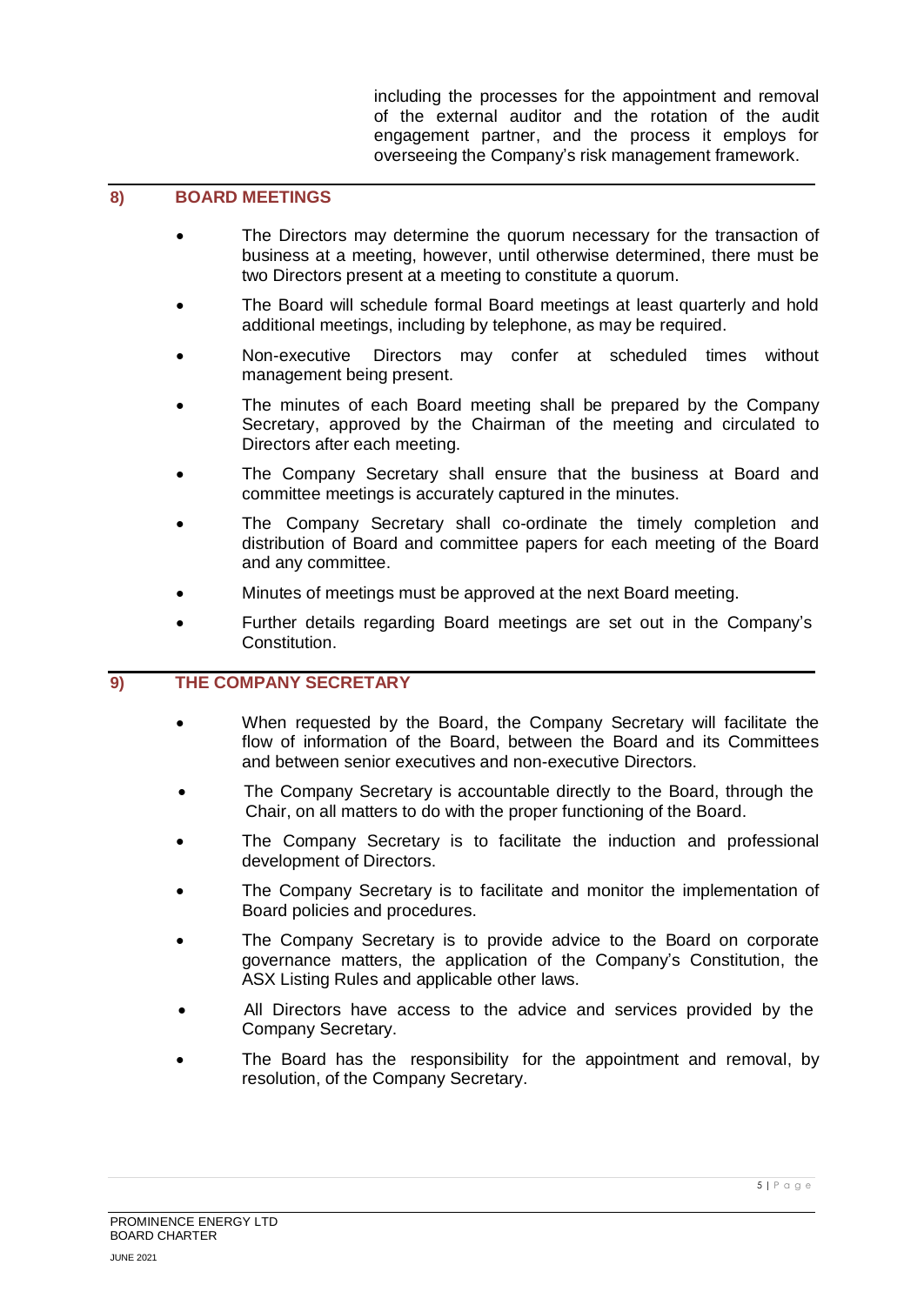including the processes for the appointment and removal of the external auditor and the rotation of the audit engagement partner, and the process it employs for overseeing the Company's risk management framework.

## **8) BOARD MEETINGS**

- The Directors may determine the quorum necessary for the transaction of business at a meeting, however, until otherwise determined, there must be two Directors present at a meeting to constitute a quorum.
- The Board will schedule formal Board meetings at least quarterly and hold additional meetings, including by telephone, as may be required.
- Non-executive Directors may confer at scheduled times without management being present.
- The minutes of each Board meeting shall be prepared by the Company Secretary, approved by the Chairman of the meeting and circulated to Directors after each meeting.
- The Company Secretary shall ensure that the business at Board and committee meetings is accurately captured in the minutes.
- The Company Secretary shall co-ordinate the timely completion and distribution of Board and committee papers for each meeting of the Board and any committee.
- Minutes of meetings must be approved at the next Board meeting.
- Further details regarding Board meetings are set out in the Company's Constitution.

#### **9) THE COMPANY SECRETARY**

- When requested by the Board, the Company Secretary will facilitate the flow of information of the Board, between the Board and its Committees and between senior executives and non-executive Directors.
- The Company Secretary is accountable directly to the Board, through the Chair, on all matters to do with the proper functioning of the Board.
- The Company Secretary is to facilitate the induction and professional development of Directors.
- The Company Secretary is to facilitate and monitor the implementation of Board policies and procedures.
- The Company Secretary is to provide advice to the Board on corporate governance matters, the application of the Company's Constitution, the ASX Listing Rules and applicable other laws.
- All Directors have access to the advice and services provided by the Company Secretary.
- The Board has the responsibility for the appointment and removal, by resolution, of the Company Secretary.